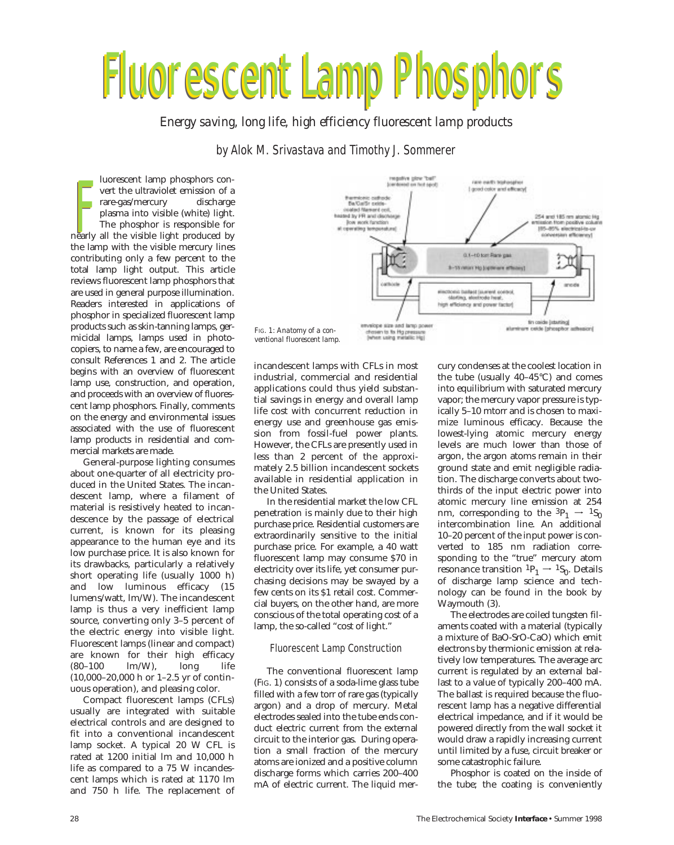# Fluorescent Lamp Phosphors Fluorescent Lamp Phosphors Fluorescent Lamp Phosphors

*Energy saving, long life, high efficiency fluorescent lamp products*

# by Alok M. Srivastava and Timothy J. Sommerer

luorescent lamp phosphors convert the ultraviolet emission of a rare-gas/mercury discharge plasma into visible (white) light. The phosphor is responsible for Fracebook the ultraviolet emission of a<br>rare-gas/mercury discharge<br>plasma into visible (white) light.<br>The phosphor is responsible for<br>the light produced by<br>the light produced by the lamp with the visible mercury lines contributing only a few percent to the total lamp light output. This article reviews fluorescent lamp phosphors that are used in general purpose illumination. Readers interested in applications of phosphor in specialized fluorescent lamp products such as skin-tanning lamps, germicidal lamps, lamps used in photocopiers, to name a few, are encouraged to consult References 1 and 2. The article begins with an overview of fluorescent lamp use, construction, and operation, and proceeds with an overview of fluorescent lamp phosphors. Finally, comments on the energy and environmental issues associated with the use of fluorescent lamp products in residential and commercial markets are made.

General-purpose lighting consumes about one-quarter of all electricity produced in the United States. The incandescent lamp, where a filament of material is resistively heated to incandescence by the passage of electrical current, is known for its pleasing appearance to the human eye and its low purchase price. It is also known for its drawbacks, particularly a relatively short operating life (usually 1000 h) and low luminous efficacy (15 lumens/watt, lm/W). The incandescent lamp is thus a very inefficient lamp source, converting only 3–5 percent of the electric energy into visible light. Fluorescent lamps (linear and compact) are known for their high efficacy (80–100 lm/W), long life (10,000–20,000 h or 1–2.5 yr of continuous operation), and pleasing color.

Compact fluorescent lamps (CFLs) usually are integrated with suitable electrical controls and are designed to fit into a conventional incandescent lamp socket. A typical 20 W CFL is rated at 1200 initial lm and 10,000 h life as compared to a 75 W incandescent lamps which is rated at 1170 lm and 750 h life. The replacement of



*ventional fluorescent lamp.*

incandescent lamps with CFLs in most industrial, commercial and residential applications could thus yield substantial savings in energy and overall lamp life cost with concurrent reduction in energy use and greenhouse gas emission from fossil-fuel power plants. However, the CFLs are presently used in less than 2 percent of the approximately 2.5 billion incandescent sockets available in residential application in the United States.

In the residential market the low CFL penetration is mainly due to their high purchase price. Residential customers are extraordinarily sensitive to the initial purchase price. For example, a 40 watt fluorescent lamp may consume \$70 in electricity over its life, yet consumer purchasing decisions may be swayed by a few cents on its \$1 retail cost. Commercial buyers, on the other hand, are more conscious of the total operating cost of a lamp, the so-called "cost of light."

## Fluorescent Lamp Construction

The conventional fluorescent lamp (FIG. 1) consists of a soda-lime glass tube filled with a few torr of rare gas (typically argon) and a drop of mercury. Metal electrodes sealed into the tube ends conduct electric current from the external circuit to the interior gas. During operation a small fraction of the mercury atoms are ionized and a positive column discharge forms which carries 200–400 mA of electric current. The liquid mercury condenses at the coolest location in the tube (usually 40–45°C) and comes into equilibrium with saturated mercury vapor; the mercury vapor pressure is typically 5–10 mtorr and is chosen to maximize luminous efficacy. Because the lowest-lying atomic mercury energy levels are much lower than those of argon, the argon atoms remain in their ground state and emit negligible radiation. The discharge converts about twothirds of the input electric power into atomic mercury line emission at 254 nm, corresponding to the  ${}^{3}P_1 \rightarrow {}^{1}S_0$ intercombination line. An additional 10–20 percent of the input power is converted to 185 nm radiation corresponding to the "true" mercury atom resonance transition  ${}^{1}P_1 \rightarrow {}^{1}S_0$ . Details of discharge lamp science and technology can be found in the book by Waymouth (3).

The electrodes are coiled tungsten filaments coated with a material (typically a mixture of BaO-SrO-CaO) which emit electrons by thermionic emission at relatively low temperatures. The average arc current is regulated by an external ballast to a value of typically 200–400 mA. The ballast is required because the fluorescent lamp has a negative differential electrical impedance, and if it would be powered directly from the wall socket it would draw a rapidly increasing current until limited by a fuse, circuit breaker or some catastrophic failure.

Phosphor is coated on the inside of the tube; the coating is conveniently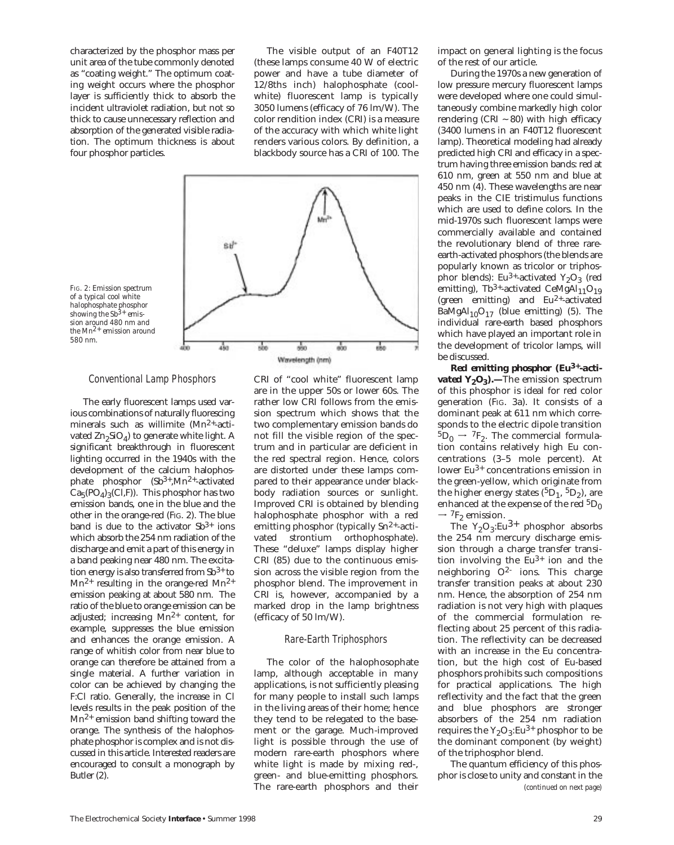characterized by the phosphor mass per unit area of the tube commonly denoted as "coating weight." The optimum coating weight occurs where the phosphor layer is sufficiently thick to absorb the incident ultraviolet radiation, but not so thick to cause unnecessary reflection and absorption of the generated visible radiation. The optimum thickness is about four phosphor particles.

The visible output of an F40T12 (these lamps consume 40 W of electric power and have a tube diameter of 12/8ths inch) halophosphate (coolwhite) fluorescent lamp is typically 3050 lumens (efficacy of 76 lm/W). The color rendition index (CRI) is a measure of the accuracy with which white light renders various colors. By definition, a blackbody source has a CRI of 100. The



*FIG. 2: Emission spectrum of a typical cool white halophosphate phosphor showing the Sb3+ emission around 480 nm and the Mn2+ emission around 580 nm.*

#### Conventional Lamp Phosphors

The early fluorescent lamps used various combinations of naturally fluorescing minerals such as willimite (Mn2+-activated  $Zn_2SiO_4$ ) to generate white light. A significant breakthrough in fluorescent lighting occurred in the 1940s with the development of the calcium halophosphate phosphor  $(Sb^{3+}$ , Mn<sup>2+</sup>-activated  $Ca<sub>5</sub>(PO<sub>A</sub>)<sub>3</sub>(Cl,F)$ ). This phosphor has two emission bands, one in the blue and the other in the orange-red (FIG. 2). The blue band is due to the activator  $Sb^{3+}$  ions which absorb the 254 nm radiation of the discharge and emit a part of this energy in a band peaking near 480 nm. The excitation energy is also transferred from  $\text{Sb}^{3+}$  to  $Mn^{2+}$  resulting in the orange-red  $Mn^{2+}$ emission peaking at about 580 nm. The ratio of the blue to orange emission can be adjusted; increasing  $Mn^{2+}$  content, for example, suppresses the blue emission and enhances the orange emission. A range of whitish color from near blue to orange can therefore be attained from a single material. A further variation in color can be achieved by changing the F:Cl ratio. Generally, the increase in Cl levels results in the peak position of the  $Mn^{2+}$  emission band shifting toward the orange. The synthesis of the halophosphate phosphor is complex and is not discussed in this article. Interested readers are encouraged to consult a monograph by Butler (2).

CRI of "cool white" fluorescent lamp are in the upper 50s or lower 60s. The rather low CRI follows from the emission spectrum which shows that the two complementary emission bands do not fill the visible region of the spectrum and in particular are deficient in the red spectral region. Hence, colors are distorted under these lamps compared to their appearance under blackbody radiation sources or sunlight. Improved CRI is obtained by blending halophosphate phosphor with a red emitting phosphor (typically Sn<sup>2+</sup>-activated strontium orthophosphate). These "deluxe" lamps display higher CRI (85) due to the continuous emission across the visible region from the phosphor blend. The improvement in CRI is, however, accompanied by a marked drop in the lamp brightness (efficacy of 50 lm/W).

#### Rare-Earth Triphosphors

The color of the halophosophate lamp, although acceptable in many applications, is not sufficiently pleasing for many people to install such lamps in the living areas of their home; hence they tend to be relegated to the basement or the garage. Much-improved light is possible through the use of modern rare-earth phosphors where white light is made by mixing red-, green- and blue-emitting phosphors. The rare-earth phosphors and their

impact on general lighting is the focus of the rest of our article.

During the 1970s a new generation of low pressure mercury fluorescent lamps were developed where one could simultaneously combine markedly high color rendering (CRI  $\sim$  80) with high efficacy (3400 lumens in an F40T12 fluorescent lamp). Theoretical modeling had already predicted high CRI and efficacy in a spectrum having three emission bands: red at 610 nm, green at 550 nm and blue at 450 nm (4). These wavelengths are near peaks in the CIE tristimulus functions which are used to define colors. In the mid-1970s such fluorescent lamps were commercially available and contained the revolutionary blend of three rareearth-activated phosphors (the blends are popularly known as tricolor or triphosphor blends): Eu<sup>3+</sup>-activated Y<sub>2</sub>O<sub>3</sub> (red emitting), Tb<sup>3+</sup>-activated CeMgAl<sub>11</sub>O<sub>19</sub> (green emitting) and Eu2+-activated BaMgAl $_{10}O_{17}$  (blue emitting) (5). The individual rare-earth based phosphors which have played an important role in the development of tricolor lamps, will be discussed.

*Red emitting phosphor (Eu3+-activated Y<sub>2</sub>O<sub>3</sub>*).—The emission spectrum of this phosphor is ideal for red color generation (FIG. 3a). It consists of a dominant peak at 611 nm which corresponds to the electric dipole transition  ${}^{5}D_{0} \rightarrow {}^{7}F_{2}$ . The commercial formulation contains relatively high Eu concentrations (3–5 mole percent). At lower Eu3+ concentrations emission in the green-yellow, which originate from the higher energy states  $({}^{5}D_1, {}^{5}D_2)$ , are enhanced at the expense of the red  ${}^{5}D_{0}$  $\rightarrow$   $^{7}\mathrm{F}_{2}$  emission.

The  $Y_2O_3$ :Eu<sup>3+</sup> phosphor absorbs the 254 nm mercury discharge emission through a charge transfer transition involving the  $Eu^{3+}$  ion and the neighboring  $O^2$  ions. This charge transfer transition peaks at about 230 nm. Hence, the absorption of 254 nm radiation is not very high with plaques of the commercial formulation reflecting about 25 percent of this radiation. The reflectivity can be decreased with an increase in the Eu concentration, but the high cost of Eu-based phosphors prohibits such compositions for practical applications. The high reflectivity and the fact that the green and blue phosphors are stronger absorbers of the 254 nm radiation requires the  $Y_2O_3$ :Eu<sup>3+</sup> phosphor to be the dominant component (by weight) of the triphosphor blend.

The quantum efficiency of this phosphor is close to unity and constant in the *(continued on next page)*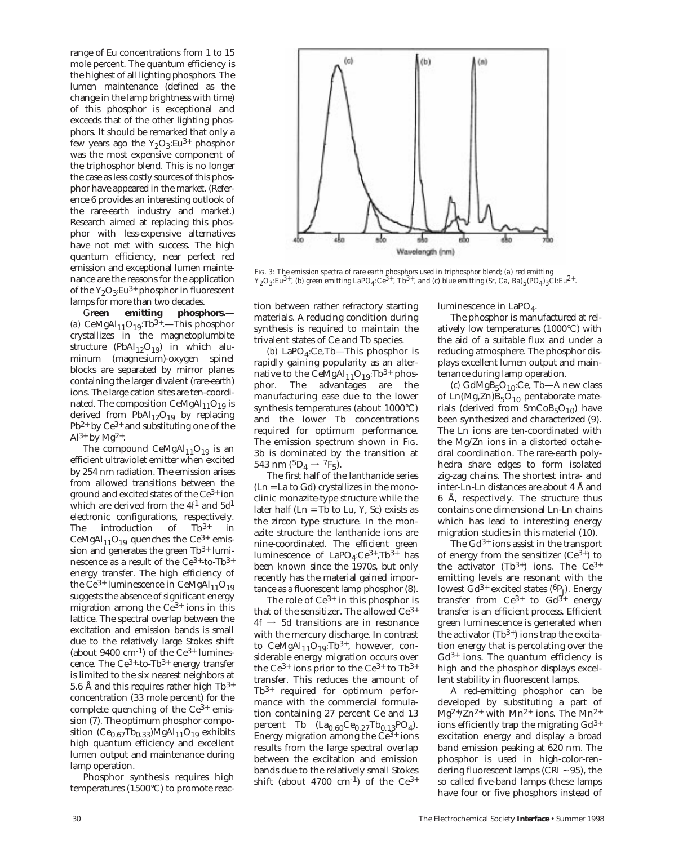range of Eu concentrations from 1 to 15 mole percent. The quantum efficiency is the highest of all lighting phosphors. The lumen maintenance (defined as the change in the lamp brightness with time) of this phosphor is exceptional and exceeds that of the other lighting phosphors. It should be remarked that only a few years ago the  $Y_2O_3$ :Eu<sup>3+</sup> phosphor was the most expensive component of the triphosphor blend. This is no longer the case as less costly sources of this phosphor have appeared in the market. (Reference 6 provides an interesting outlook of the rare-earth industry and market.) Research aimed at replacing this phosphor with less-expensive alternatives have not met with success. The high quantum efficiency, near perfect red emission and exceptional lumen maintenance are the reasons for the application of the  $Y_2O_3$ :Eu<sup>3+</sup> phosphor in fluorescent lamps for more than two decades.

G**reen emitting phosphors.—** (a) CeMgAl $_{11}$ O<sub>19</sub>:Tb<sup>3+</sup>.—This phosphor crystallizes in the magnetoplumbite structure (PbAl<sub>12</sub>O<sub>19</sub>) in which aluminum (magnesium)-oxygen spinel blocks are separated by mirror planes containing the larger divalent (rare-earth) ions. The large cation sites are ten-coordinated. The composition  $CeMgAl_{11}O_{19}$  is derived from  $PbAl_{12}O_{19}$  by replacing  $Pb^{2+}$  by  $Ce^{3+}$  and substituting one of the  $Al^{3+}$  by Mg<sup>2+</sup>.

The compound CeMgAl $_{11}$ O<sub>19</sub> is an efficient ultraviolet emitter when excited by 254 nm radiation. The emission arises from allowed transitions between the ground and excited states of the Ce3+ ion which are derived from the 4*f*1 and 5*d*1 electronic configurations, respectively. The introduction of Tb<sup>3+</sup> in CeMgAl<sub>11</sub>O<sub>19</sub> quenches the Ce<sup>3+</sup> emission and generates the green  $Tb^{3+}$  luminescence as a result of the  $Ce^{3+}$ -to-Tb<sup>3+</sup> energy transfer. The high efficiency of the Ce<sup>3+</sup> luminescence in CeMgAl<sub>11</sub>O<sub>19</sub> suggests the absence of significant energy migration among the  $Ce^{3+}$  ions in this lattice. The spectral overlap between the excitation and emission bands is small due to the relatively large Stokes shift (about  $9400 \text{ cm}^{-1}$ ) of the Ce<sup>3+</sup> luminescence. The  $Ce^{3+}$ -to-Tb<sup>3+</sup> energy transfer is limited to the six nearest neighbors at 5.6 Å and this requires rather high  $\rm Tb^{3+}$ concentration (33 mole percent) for the complete quenching of the  $Ce^{3+}$  emission (7). The optimum phosphor composition ( $Ce<sub>0.67</sub>Th<sub>0.33</sub>$ )MgAl<sub>11</sub>O<sub>19</sub> exhibits high quantum efficiency and excellent lumen output and maintenance during lamp operation.

Phosphor synthesis requires high temperatures (1500°C) to promote reac-



*FIG. 3: The emission spectra of rare earth phosphors used in triphosphor blend; (a) red emitting Y2O3:Eu3+, (b) green emitting LaPO4:Ce3+, Tb3+, and (c) blue emitting (Sr, Ca, Ba)5(PO4)3Cl:Eu2+.*

tion between rather refractory starting materials. A reducing condition during synthesis is required to maintain the trivalent states of Ce and Tb species.

 $(b)$  LaPO<sub>4</sub>:Ce,Tb—This phosphor is rapidly gaining popularity as an alternative to the CeMgAl<sub>11</sub>O<sub>19</sub>:Tb<sup>3+</sup> phosphor. The advantages are the manufacturing ease due to the lower synthesis temperatures (about 1000°C) and the lower Tb concentrations required for optimum performance. The emission spectrum shown in FIG. 3b is dominated by the transition at 543 nm  $(^5D_4 \rightarrow ^7F_5)$ .

The first half of the lanthanide series (Ln = La to Gd) crystallizes in the monoclinic monazite-type structure while the later half  $(Ln = Tb$  to  $Lu$ ,  $Y$ ,  $Sc$ ) exists as the zircon type structure. In the monazite structure the lanthanide ions are nine-coordinated. The efficient green luminescence of  $LapO<sub>4</sub>:Ce<sup>3+</sup>, Tb<sup>3+</sup>$  has been known since the 1970s, but only recently has the material gained importance as a fluorescent lamp phosphor (8).

The role of  $Ce^{3+}$  in this phosphor is that of the sensitizer. The allowed Ce3+  $4f \rightarrow 5d$  transitions are in resonance with the mercury discharge. In contrast to CeMgAl $_{11}O_{19}$ :Tb<sup>3+</sup>, however, considerable energy migration occurs over the  $Ce^{3+}$  ions prior to the  $Ce^{3+}$  to Tb<sup>3+</sup> transfer. This reduces the amount of Tb3+ required for optimum performance with the commercial formulation containing 27 percent Ce and 13 percent Tb  $(La_{0.60}Ce_{0.27}Tb_{0.13}PO_4)$ . Energy migration among the  $Ce^{3+}$  ions results from the large spectral overlap between the excitation and emission bands due to the relatively small Stokes shift (about 4700 cm<sup>-1</sup>) of the  $Ce^{3+}$ 

luminescence in LaPO<sub>4</sub>.

The phosphor is manufactured at relatively low temperatures (1000°C) with the aid of a suitable flux and under a reducing atmosphere. The phosphor displays excellent lumen output and maintenance during lamp operation.

 $(c)$  GdMgB<sub>5</sub>O<sub>10</sub>:Ce, Tb—A new class of  $Ln(Mg,Zn)B<sub>5</sub>O<sub>10</sub>$  pentaborate materials (derived from  $SmCoB<sub>5</sub>O<sub>10</sub>$ ) have been synthesized and characterized (9). The Ln ions are ten-coordinated with the Mg/Zn ions in a distorted octahedral coordination. The rare-earth polyhedra share edges to form isolated zig-zag chains. The shortest intra- and inter-Ln-Ln distances are about 4 Å and 6 Å, respectively. The structure thus contains one dimensional Ln-Ln chains which has lead to interesting energy migration studies in this material (10).

The  $Gd^{3+}$  ions assist in the transport of energy from the sensitizer  $(Ce^{3+})$  to the activator (Tb3+) ions. The  $Ce^{3+}$ emitting levels are resonant with the lowest  $Gd^{3+}$  excited states ( ${}^{6}P_J$ ). Energy transfer from  $Ce^{3+}$  to  $Gd^{3+}$  energy transfer is an efficient process. Efficient green luminescence is generated when the activator  $(Tb^{3+})$  ions trap the excitation energy that is percolating over the  $Gd^{3+}$  ions. The quantum efficiency is high and the phosphor displays excellent stability in fluorescent lamps.

A red-emitting phosphor can be developed by substituting a part of  $Mg^{2+/Zn^{2+}}$  with  $Mn^{2+}$  ions. The  $Mn^{2+}$ ions efficiently trap the migrating  $Gd^{3+}$ excitation energy and display a broad band emission peaking at 620 nm. The phosphor is used in high-color-rendering fluorescent lamps (CRI  $\sim$  95), the so called five-band lamps (these lamps have four or five phosphors instead of